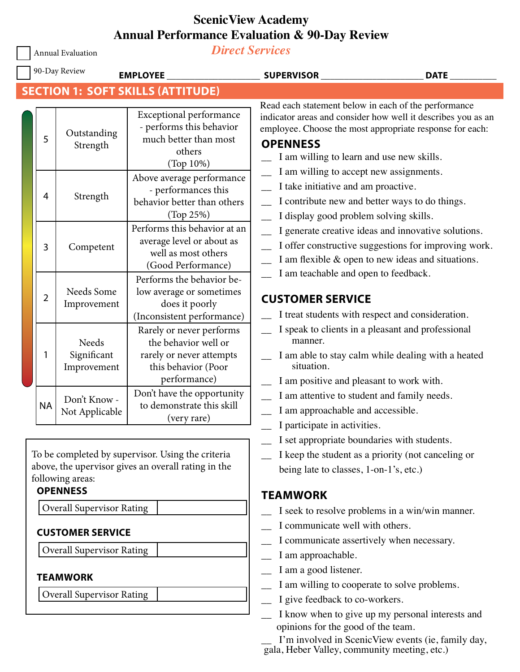# **ScenicView Academy Annual Performance Evaluation & 90-Day Review**

Annual Evaluation

*Direct Services*

| 90-Day Review<br><b>EMPLOYEE</b> |                                                                                                                                                                                                                                                                       |                                     |                                                                                                                     | <b>SUPERVISOR</b>                                                                                                                                                                                                                                                                                                                                                                                                              | <b>DATE</b>                                                                                                                                                      |
|----------------------------------|-----------------------------------------------------------------------------------------------------------------------------------------------------------------------------------------------------------------------------------------------------------------------|-------------------------------------|---------------------------------------------------------------------------------------------------------------------|--------------------------------------------------------------------------------------------------------------------------------------------------------------------------------------------------------------------------------------------------------------------------------------------------------------------------------------------------------------------------------------------------------------------------------|------------------------------------------------------------------------------------------------------------------------------------------------------------------|
|                                  | <b>SECTION 1: SOFT SKILLS (ATTITUDE)</b>                                                                                                                                                                                                                              |                                     |                                                                                                                     |                                                                                                                                                                                                                                                                                                                                                                                                                                |                                                                                                                                                                  |
|                                  | 5                                                                                                                                                                                                                                                                     | Outstanding<br>Strength             | <b>Exceptional performance</b><br>- performs this behavior<br>much better than most<br>others<br>(Top 10%)          | Read each statement below in each of the performance<br>indicator areas and consider how well it describes you as an<br>employee. Choose the most appropriate response for each:<br><b>OPENNESS</b><br>I am willing to learn and use new skills.<br>I am willing to accept new assignments.<br>I take initiative and am proactive.<br>I contribute new and better ways to do things.<br>I display good problem solving skills. |                                                                                                                                                                  |
|                                  | 4                                                                                                                                                                                                                                                                     | Strength                            | Above average performance<br>- performances this<br>behavior better than others<br>(Top 25%)                        |                                                                                                                                                                                                                                                                                                                                                                                                                                |                                                                                                                                                                  |
|                                  | 3                                                                                                                                                                                                                                                                     | Competent                           | Performs this behavior at an<br>average level or about as<br>well as most others<br>(Good Performance)              |                                                                                                                                                                                                                                                                                                                                                                                                                                | I generate creative ideas and innovative solutions.<br>I offer constructive suggestions for improving work.<br>I am flexible & open to new ideas and situations. |
|                                  | 2                                                                                                                                                                                                                                                                     | Needs Some<br>Improvement           | Performs the behavior be-<br>low average or sometimes<br>does it poorly<br>(Inconsistent performance)               | I am teachable and open to feedback.<br><b>CUSTOMER SERVICE</b>                                                                                                                                                                                                                                                                                                                                                                | I treat students with respect and consideration.                                                                                                                 |
|                                  | 1                                                                                                                                                                                                                                                                     | Needs<br>Significant<br>Improvement | Rarely or never performs<br>the behavior well or<br>rarely or never attempts<br>this behavior (Poor<br>performance) | manner.<br>situation.<br>I am positive and pleasant to work with.                                                                                                                                                                                                                                                                                                                                                              | I speak to clients in a pleasant and professional<br>I am able to stay calm while dealing with a heated                                                          |
|                                  | <b>NA</b>                                                                                                                                                                                                                                                             | Don't Know -<br>Not Applicable      | Don't have the opportunity<br>to demonstrate this skill<br>(very rare)                                              | I am attentive to student and family needs.<br>I am approachable and accessible.<br>I participate in activities.                                                                                                                                                                                                                                                                                                               |                                                                                                                                                                  |
|                                  | To be completed by supervisor. Using the criteria<br>above, the upervisor gives an overall rating in the<br>following areas:<br><b>OPENNESS</b><br><b>Overall Supervisor Rating</b><br><b>CUSTOMER SERVICE</b><br><b>Overall Supervisor Rating</b><br><b>TEAMWORK</b> |                                     |                                                                                                                     | I set appropriate boundaries with students.<br>being late to classes, 1-on-1's, etc.)                                                                                                                                                                                                                                                                                                                                          | I keep the student as a priority (not canceling or                                                                                                               |
|                                  |                                                                                                                                                                                                                                                                       |                                     |                                                                                                                     | <b>TEAMWORK</b>                                                                                                                                                                                                                                                                                                                                                                                                                |                                                                                                                                                                  |
|                                  |                                                                                                                                                                                                                                                                       |                                     |                                                                                                                     | I seek to resolve problems in a win/win manner.<br>I communicate well with others.<br>I communicate assertively when necessary.<br>I am approachable.<br>I am a good listener.<br>I am willing to cooperate to solve problems.                                                                                                                                                                                                 |                                                                                                                                                                  |
|                                  | <b>Overall Supervisor Rating</b>                                                                                                                                                                                                                                      |                                     | I give feedback to co-workers.<br>opinions for the good of the team.                                                | I know when to give up my personal interests and<br>I'm involved in ScenicView events (ie, family day,                                                                                                                                                                                                                                                                                                                         |                                                                                                                                                                  |

gala, Heber Valley, community meeting, etc.)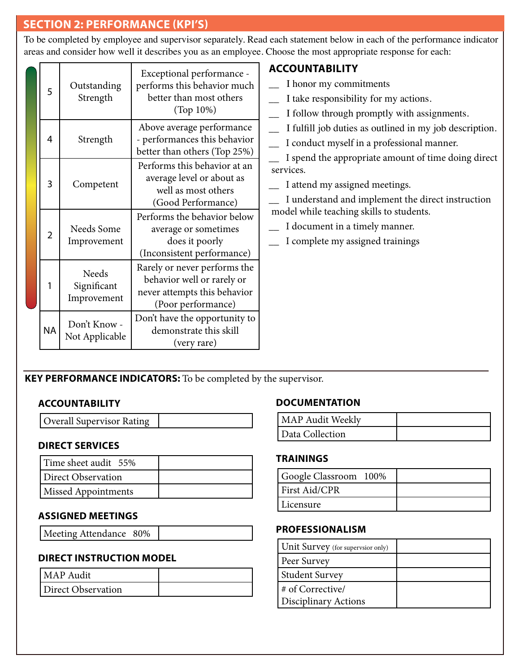# **SECTION 2: PERFORMANCE (KPI'S)**

To be completed by employee and supervisor separately. Read each statement below in each of the performance indicator areas and consider how well it describes you as an employee. Choose the most appropriate response for each:

|  |                |                                     | Exceptional performance -                                                                                        | <b>ACCOUNTABILITY</b>                                                                                                                                                                                                                                                     |
|--|----------------|-------------------------------------|------------------------------------------------------------------------------------------------------------------|---------------------------------------------------------------------------------------------------------------------------------------------------------------------------------------------------------------------------------------------------------------------------|
|  | 5              | Outstanding<br>Strength             | performs this behavior much<br>better than most others<br>(Top 10%)                                              | I honor my commitments<br>I take responsibility for my actions.<br>I follow through promptly with assignments.                                                                                                                                                            |
|  | 4              | Strength                            | Above average performance<br>- performances this behavior<br>better than others (Top 25%)                        | I fulfill job duties as outlined in my job description.<br>I conduct myself in a professional manner.                                                                                                                                                                     |
|  | 3              | Competent                           | Performs this behavior at an<br>average level or about as<br>well as most others<br>(Good Performance)           | I spend the appropriate amount of time doing direct<br>services.<br>I attend my assigned meetings.<br>I understand and implement the direct instruction<br>model while teaching skills to students.<br>I document in a timely manner.<br>I complete my assigned trainings |
|  | $\overline{2}$ | Needs Some<br>Improvement           | Performs the behavior below<br>average or sometimes<br>does it poorly<br>(Inconsistent performance)              |                                                                                                                                                                                                                                                                           |
|  |                | Needs<br>Significant<br>Improvement | Rarely or never performs the<br>behavior well or rarely or<br>never attempts this behavior<br>(Poor performance) |                                                                                                                                                                                                                                                                           |
|  | <b>NA</b>      | Don't Know -<br>Not Applicable      | Don't have the opportunity to<br>demonstrate this skill<br>(very rare)                                           |                                                                                                                                                                                                                                                                           |

**KEY PERFORMANCE INDICATORS:** To be completed by the supervisor.

## **ACCOUNTABILITY**

| <b>Overall Supervisor Rating</b> |  |
|----------------------------------|--|
|----------------------------------|--|

#### **DIRECT SERVICES**

| Time sheet audit 55% |  |
|----------------------|--|
| Direct Observation   |  |
| Missed Appointments  |  |

## **ASSIGNED MEETINGS**

#### **DIRECT INSTRUCTION MODEL**

| l MAP Audit        |  |
|--------------------|--|
| Direct Observation |  |

## **DOCUMENTATION**

| MAP Audit Weekly |  |
|------------------|--|
| Data Collection  |  |

#### **TRAININGS**

| Google Classroom 100% |  |
|-----------------------|--|
| <b>First Aid/CPR</b>  |  |
| Licensure             |  |

#### **PROFESSIONALISM**

| Unit Survey (for supervsior only) |  |
|-----------------------------------|--|
| Peer Survey                       |  |
| Student Survey                    |  |
| # of Corrective/                  |  |
| Disciplinary Actions              |  |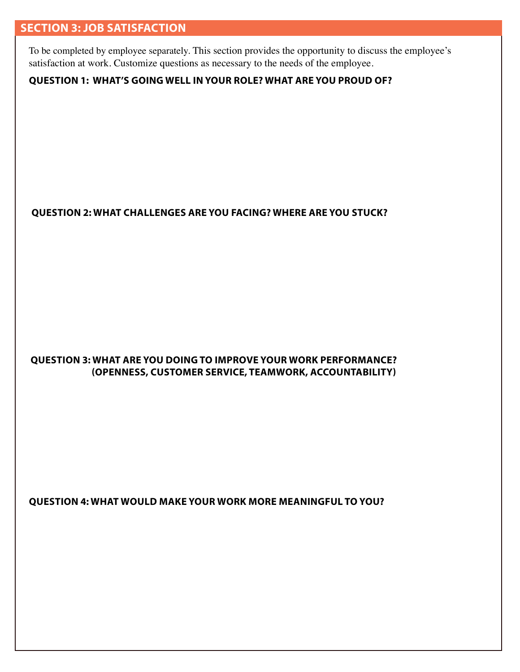# **SECTION 3: JOB SATISFACTION**

To be completed by employee separately. This section provides the opportunity to discuss the employee's satisfaction at work. Customize questions as necessary to the needs of the employee.

## **QUESTION 1: WHAT'S GOING WELL IN YOUR ROLE? WHAT ARE YOU PROUD OF?**

**QUESTION 2: WHAT CHALLENGES ARE YOU FACING? WHERE ARE YOU STUCK?**

#### **QUESTION 3: WHAT ARE YOU DOING TO IMPROVE YOUR WORK PERFORMANCE? (OPENNESS, CUSTOMER SERVICE, TEAMWORK, ACCOUNTABILITY)**

**QUESTION 4: WHAT WOULD MAKE YOUR WORK MORE MEANINGFUL TO YOU?**